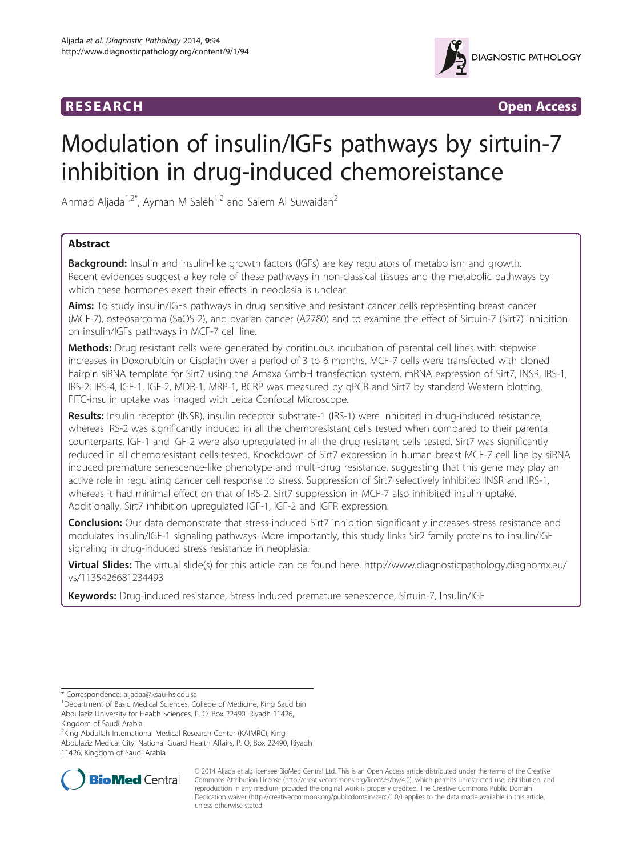

**RESEARCH CHINESEARCH CHINESEARCH** 

# Modulation of insulin/IGFs pathways by sirtuin-7 inhibition in drug-induced chemoreistance

Ahmad Aljada<sup>1,2\*</sup>, Ayman M Saleh<sup>1,2</sup> and Salem Al Suwaidan<sup>2</sup>

# Abstract

**Background:** Insulin and insulin-like growth factors (IGFs) are key regulators of metabolism and growth. Recent evidences suggest a key role of these pathways in non-classical tissues and the metabolic pathways by which these hormones exert their effects in neoplasia is unclear.

Aims: To study insulin/IGFs pathways in drug sensitive and resistant cancer cells representing breast cancer (MCF-7), osteosarcoma (SaOS-2), and ovarian cancer (A2780) and to examine the effect of Sirtuin-7 (Sirt7) inhibition on insulin/IGFs pathways in MCF-7 cell line.

Methods: Drug resistant cells were generated by continuous incubation of parental cell lines with stepwise increases in Doxorubicin or Cisplatin over a period of 3 to 6 months. MCF-7 cells were transfected with cloned hairpin siRNA template for Sirt7 using the Amaxa GmbH transfection system. mRNA expression of Sirt7, INSR, IRS-1, IRS-2, IRS-4, IGF-1, IGF-2, MDR-1, MRP-1, BCRP was measured by qPCR and Sirt7 by standard Western blotting. FITC-insulin uptake was imaged with Leica Confocal Microscope.

Results: Insulin receptor (INSR), insulin receptor substrate-1 (IRS-1) were inhibited in drug-induced resistance, whereas IRS-2 was significantly induced in all the chemoresistant cells tested when compared to their parental counterparts. IGF-1 and IGF-2 were also upregulated in all the drug resistant cells tested. Sirt7 was significantly reduced in all chemoresistant cells tested. Knockdown of Sirt7 expression in human breast MCF-7 cell line by siRNA induced premature senescence-like phenotype and multi-drug resistance, suggesting that this gene may play an active role in regulating cancer cell response to stress. Suppression of Sirt7 selectively inhibited INSR and IRS-1, whereas it had minimal effect on that of IRS-2. Sirt7 suppression in MCF-7 also inhibited insulin uptake. Additionally, Sirt7 inhibition upregulated IGF-1, IGF-2 and IGFR expression.

Conclusion: Our data demonstrate that stress-induced Sirt7 inhibition significantly increases stress resistance and modulates insulin/IGF-1 signaling pathways. More importantly, this study links Sir2 family proteins to insulin/IGF signaling in drug-induced stress resistance in neoplasia.

Virtual Slides: The virtual slide(s) for this article can be found here: [http://www.diagnosticpathology.diagnomx.eu/](http://www.diagnosticpathology.diagnomx.eu/vs/1135426681234493) [vs/1135426681234493](http://www.diagnosticpathology.diagnomx.eu/vs/1135426681234493)

Keywords: Drug-induced resistance, Stress induced premature senescence, Sirtuin-7, Insulin/IGF

\* Correspondence: [aljadaa@ksau-hs.edu.sa](mailto:aljadaa@ksau-hs.edu.sa) <sup>1</sup>

2 King Abdullah International Medical Research Center (KAIMRC), King Abdulaziz Medical City, National Guard Health Affairs, P. O. Box 22490, Riyadh 11426, Kingdom of Saudi Arabia



© 2014 Aljada et al.; licensee BioMed Central Ltd. This is an Open Access article distributed under the terms of the Creative Commons Attribution License [\(http://creativecommons.org/licenses/by/4.0\)](http://creativecommons.org/licenses/by/4.0), which permits unrestricted use, distribution, and reproduction in any medium, provided the original work is properly credited. The Creative Commons Public Domain Dedication waiver [\(http://creativecommons.org/publicdomain/zero/1.0/](http://creativecommons.org/publicdomain/zero/1.0/)) applies to the data made available in this article, unless otherwise stated.

<sup>&</sup>lt;sup>1</sup>Department of Basic Medical Sciences, College of Medicine, King Saud bin Abdulaziz University for Health Sciences, P. O. Box 22490, Riyadh 11426, Kingdom of Saudi Arabia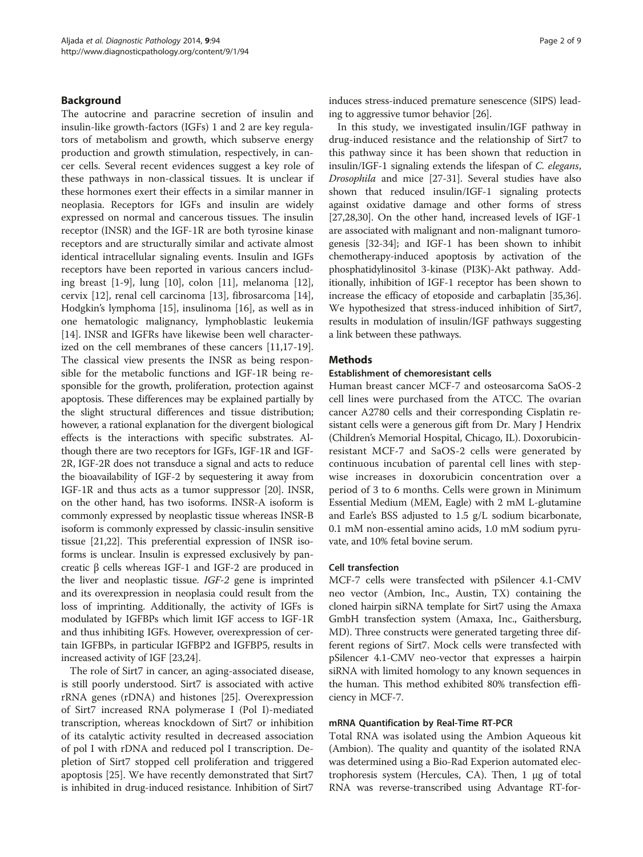# Background

The autocrine and paracrine secretion of insulin and insulin-like growth-factors (IGFs) 1 and 2 are key regulators of metabolism and growth, which subserve energy production and growth stimulation, respectively, in cancer cells. Several recent evidences suggest a key role of these pathways in non-classical tissues. It is unclear if these hormones exert their effects in a similar manner in neoplasia. Receptors for IGFs and insulin are widely expressed on normal and cancerous tissues. The insulin receptor (INSR) and the IGF-1R are both tyrosine kinase receptors and are structurally similar and activate almost identical intracellular signaling events. Insulin and IGFs receptors have been reported in various cancers including breast [\[1](#page-7-0)-[9\]](#page-7-0), lung [\[10](#page-7-0)], colon [\[11](#page-8-0)], melanoma [\[12](#page-8-0)], cervix [[12\]](#page-8-0), renal cell carcinoma [[13\]](#page-8-0), fibrosarcoma [\[14](#page-8-0)], Hodgkin's lymphoma [[15](#page-8-0)], insulinoma [[16\]](#page-8-0), as well as in one hematologic malignancy, lymphoblastic leukemia [[14\]](#page-8-0). INSR and IGFRs have likewise been well characterized on the cell membranes of these cancers [\[11,17-19](#page-8-0)]. The classical view presents the INSR as being responsible for the metabolic functions and IGF-1R being responsible for the growth, proliferation, protection against apoptosis. These differences may be explained partially by the slight structural differences and tissue distribution; however, a rational explanation for the divergent biological effects is the interactions with specific substrates. Although there are two receptors for IGFs, IGF-1R and IGF-2R, IGF-2R does not transduce a signal and acts to reduce the bioavailability of IGF-2 by sequestering it away from IGF-1R and thus acts as a tumor suppressor [\[20\]](#page-8-0). INSR, on the other hand, has two isoforms. INSR-A isoform is commonly expressed by neoplastic tissue whereas INSR-B isoform is commonly expressed by classic-insulin sensitive tissue [[21](#page-8-0),[22](#page-8-0)]. This preferential expression of INSR isoforms is unclear. Insulin is expressed exclusively by pancreatic β cells whereas IGF-1 and IGF-2 are produced in the liver and neoplastic tissue. IGF-2 gene is imprinted and its overexpression in neoplasia could result from the loss of imprinting. Additionally, the activity of IGFs is modulated by IGFBPs which limit IGF access to IGF-1R and thus inhibiting IGFs. However, overexpression of certain IGFBPs, in particular IGFBP2 and IGFBP5, results in increased activity of IGF [\[23,24\]](#page-8-0).

The role of Sirt7 in cancer, an aging-associated disease, is still poorly understood. Sirt7 is associated with active rRNA genes (rDNA) and histones [[25\]](#page-8-0). Overexpression of Sirt7 increased RNA polymerase I (Pol I)-mediated transcription, whereas knockdown of Sirt7 or inhibition of its catalytic activity resulted in decreased association of pol I with rDNA and reduced pol I transcription. Depletion of Sirt7 stopped cell proliferation and triggered apoptosis [\[25\]](#page-8-0). We have recently demonstrated that Sirt7 is inhibited in drug-induced resistance. Inhibition of Sirt7

induces stress-induced premature senescence (SIPS) leading to aggressive tumor behavior [[26](#page-8-0)].

In this study, we investigated insulin/IGF pathway in drug-induced resistance and the relationship of Sirt7 to this pathway since it has been shown that reduction in insulin/IGF-1 signaling extends the lifespan of C. elegans, Drosophila and mice [[27](#page-8-0)-[31](#page-8-0)]. Several studies have also shown that reduced insulin/IGF-1 signaling protects against oxidative damage and other forms of stress [[27](#page-8-0),[28,30\]](#page-8-0). On the other hand, increased levels of IGF-1 are associated with malignant and non-malignant tumorogenesis [[32](#page-8-0)-[34](#page-8-0)]; and IGF-1 has been shown to inhibit chemotherapy-induced apoptosis by activation of the phosphatidylinositol 3-kinase (PI3K)-Akt pathway. Additionally, inhibition of IGF-1 receptor has been shown to increase the efficacy of etoposide and carbaplatin [\[35,36](#page-8-0)]. We hypothesized that stress-induced inhibition of Sirt7, results in modulation of insulin/IGF pathways suggesting a link between these pathways.

# **Methods**

# Establishment of chemoresistant cells

Human breast cancer MCF-7 and osteosarcoma SaOS-2 cell lines were purchased from the ATCC. The ovarian cancer A2780 cells and their corresponding Cisplatin resistant cells were a generous gift from Dr. Mary J Hendrix (Children's Memorial Hospital, Chicago, IL). Doxorubicinresistant MCF-7 and SaOS-2 cells were generated by continuous incubation of parental cell lines with stepwise increases in doxorubicin concentration over a period of 3 to 6 months. Cells were grown in Minimum Essential Medium (MEM, Eagle) with 2 mM L-glutamine and Earle's BSS adjusted to 1.5 g/L sodium bicarbonate, 0.1 mM non-essential amino acids, 1.0 mM sodium pyruvate, and 10% fetal bovine serum.

## Cell transfection

MCF-7 cells were transfected with pSilencer 4.1-CMV neo vector (Ambion, Inc., Austin, TX) containing the cloned hairpin siRNA template for Sirt7 using the Amaxa GmbH transfection system (Amaxa, Inc., Gaithersburg, MD). Three constructs were generated targeting three different regions of Sirt7. Mock cells were transfected with pSilencer 4.1-CMV neo-vector that expresses a hairpin siRNA with limited homology to any known sequences in the human. This method exhibited 80% transfection efficiency in MCF-7.

# mRNA Quantification by Real-Time RT-PCR

Total RNA was isolated using the Ambion Aqueous kit (Ambion). The quality and quantity of the isolated RNA was determined using a Bio-Rad Experion automated electrophoresis system (Hercules, CA). Then, 1 μg of total RNA was reverse-transcribed using Advantage RT-for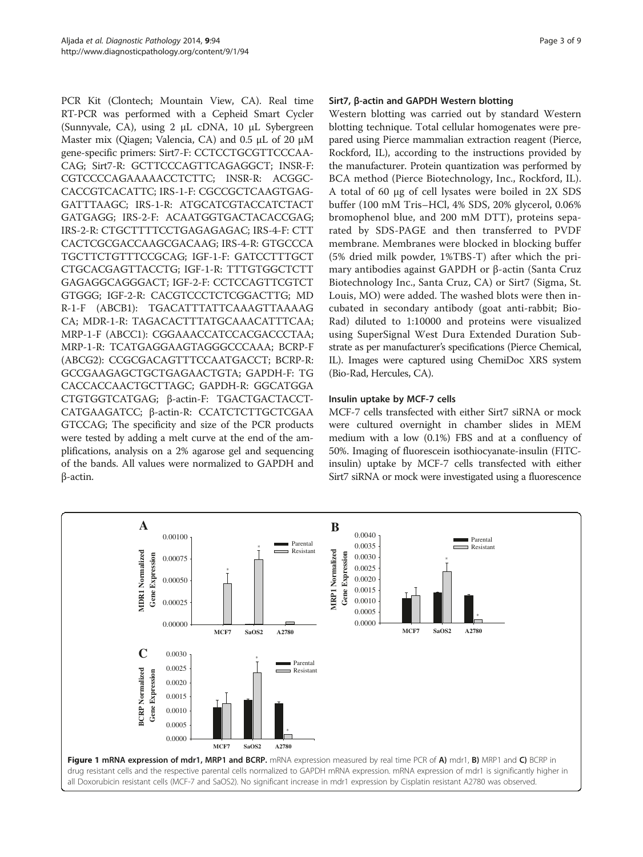<span id="page-2-0"></span>PCR Kit (Clontech; Mountain View, CA). Real time RT-PCR was performed with a Cepheid Smart Cycler (Sunnyvale, CA), using 2 μL cDNA, 10 μL Sybergreen Master mix (Qiagen; Valencia, CA) and 0.5 μL of 20 μM gene-specific primers: Sirt7-F: CCTCCTGCGTTCCCAA-CAG; Sirt7-R: GCTTCCCAGTTCAGAGGCT; INSR-F: CGTCCCCAGAAAAACCTCTTC; INSR-R: ACGGC-CACCGTCACATTC; IRS-1-F: CGCCGCTCAAGTGAG-GATTTAAGC; IRS-1-R: ATGCATCGTACCATCTACT GATGAGG; IRS-2-F: ACAATGGTGACTACACCGAG; IRS-2-R: CTGCTTTTCCTGAGAGAGAC; IRS-4-F: CTT CACTCGCGACCAAGCGACAAG; IRS-4-R: GTGCCCA TGCTTCTGTTTCCGCAG; IGF-1-F: GATCCTTTGCT CTGCACGAGTTACCTG; IGF-1-R: TTTGTGGCTCTT GAGAGGCAGGGACT; IGF-2-F: CCTCCAGTTCGTCT GTGGG; IGF-2-R: CACGTCCCTCTCGGACTTG; MD R-1-F (ABCB1): TGACATTTATTCAAAGTTAAAAG CA; MDR-1-R: TAGACACTTTATGCAAACATTTCAA; MRP-1-F (ABCC1): CGGAAACCATCCACGACCCTAA; MRP-1-R: TCATGAGGAAGTAGGGCCCAAA; BCRP-F (ABCG2): CCGCGACAGTTTCCAATGACCT; BCRP-R: GCCGAAGAGCTGCTGAGAACTGTA; GAPDH-F: TG CACCACCAACTGCTTAGC; GAPDH-R: GGCATGGA CTGTGGTCATGAG; β-actin-F: TGACTGACTACCT-CATGAAGATCC; β-actin-R: CCATCTCTTGCTCGAA GTCCAG; The specificity and size of the PCR products were tested by adding a melt curve at the end of the amplifications, analysis on a 2% agarose gel and sequencing of the bands. All values were normalized to GAPDH and β-actin.

# Sirt7, β-actin and GAPDH Western blotting

Western blotting was carried out by standard Western blotting technique. Total cellular homogenates were prepared using Pierce mammalian extraction reagent (Pierce, Rockford, IL), according to the instructions provided by the manufacturer. Protein quantization was performed by BCA method (Pierce Biotechnology, Inc., Rockford, IL). A total of 60 μg of cell lysates were boiled in 2X SDS buffer (100 mM Tris–HCl, 4% SDS, 20% glycerol, 0.06% bromophenol blue, and 200 mM DTT), proteins separated by SDS-PAGE and then transferred to PVDF membrane. Membranes were blocked in blocking buffer (5% dried milk powder, 1%TBS-T) after which the primary antibodies against GAPDH or β-actin (Santa Cruz Biotechnology Inc., Santa Cruz, CA) or Sirt7 (Sigma, St. Louis, MO) were added. The washed blots were then incubated in secondary antibody (goat anti-rabbit; Bio-Rad) diluted to 1:10000 and proteins were visualized using SuperSignal West Dura Extended Duration Substrate as per manufacturer's specifications (Pierce Chemical, IL). Images were captured using ChemiDoc XRS system (Bio-Rad, Hercules, CA).

# Insulin uptake by MCF-7 cells

MCF-7 cells transfected with either Sirt7 siRNA or mock were cultured overnight in chamber slides in MEM medium with a low (0.1%) FBS and at a confluency of 50%. Imaging of fluorescein isothiocyanate-insulin (FITCinsulin) uptake by MCF-7 cells transfected with either Sirt7 siRNA or mock were investigated using a fluorescence

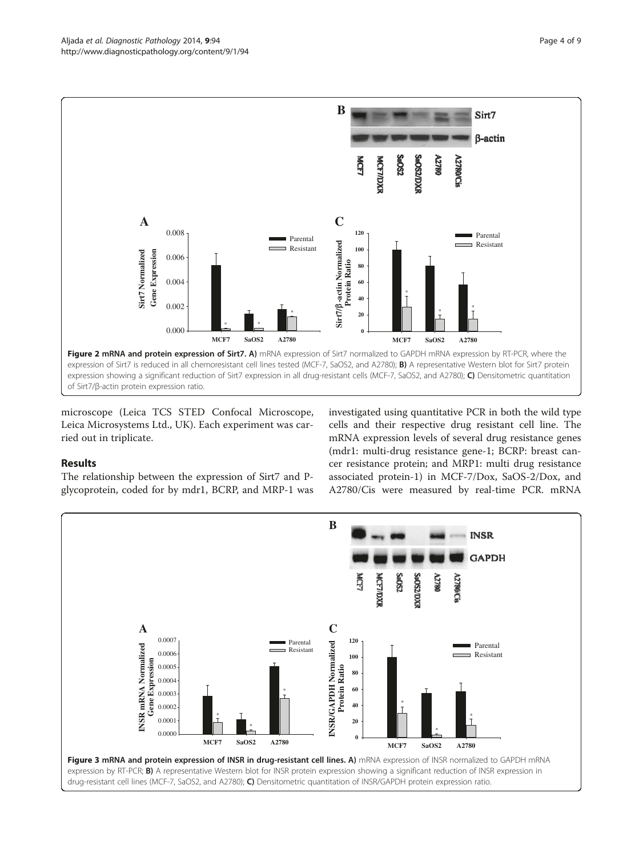<span id="page-3-0"></span>

microscope (Leica TCS STED Confocal Microscope, Leica Microsystems Ltd., UK). Each experiment was carried out in triplicate.

The relationship between the expression of Sirt7 and Pglycoprotein, coded for by mdr1, BCRP, and MRP-1 was

Results

investigated using quantitative PCR in both the wild type cells and their respective drug resistant cell line. The mRNA expression levels of several drug resistance genes (mdr1: multi-drug resistance gene-1; BCRP: breast cancer resistance protein; and MRP1: multi drug resistance associated protein-1) in MCF-7/Dox, SaOS-2/Dox, and A2780/Cis were measured by real-time PCR. mRNA

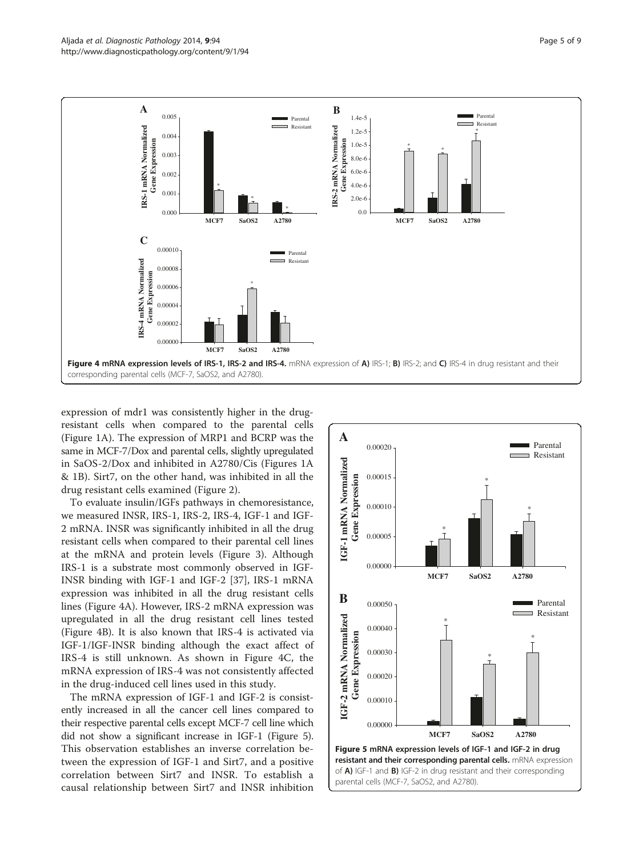

expression of mdr1 was consistently higher in the drugresistant cells when compared to the parental cells (Figure [1A](#page-2-0)). The expression of MRP1 and BCRP was the same in MCF-7/Dox and parental cells, slightly upregulated in SaOS-2/Dox and inhibited in A2780/Cis (Figures [1A](#page-2-0) & [1](#page-2-0)B). Sirt7, on the other hand, was inhibited in all the drug resistant cells examined (Figure [2](#page-3-0)).

To evaluate insulin/IGFs pathways in chemoresistance, we measured INSR, IRS-1, IRS-2, IRS-4, IGF-1 and IGF-2 mRNA. INSR was significantly inhibited in all the drug resistant cells when compared to their parental cell lines at the mRNA and protein levels (Figure [3\)](#page-3-0). Although IRS-1 is a substrate most commonly observed in IGF-INSR binding with IGF-1 and IGF-2 [\[37\]](#page-8-0), IRS-1 mRNA expression was inhibited in all the drug resistant cells lines (Figure 4A). However, IRS-2 mRNA expression was upregulated in all the drug resistant cell lines tested (Figure 4B). It is also known that IRS-4 is activated via IGF-1/IGF-INSR binding although the exact affect of IRS-4 is still unknown. As shown in Figure 4C, the mRNA expression of IRS-4 was not consistently affected in the drug-induced cell lines used in this study.

The mRNA expression of IGF-1 and IGF-2 is consistently increased in all the cancer cell lines compared to their respective parental cells except MCF-7 cell line which did not show a significant increase in IGF-1 (Figure 5). This observation establishes an inverse correlation between the expression of IGF-1 and Sirt7, and a positive correlation between Sirt7 and INSR. To establish a

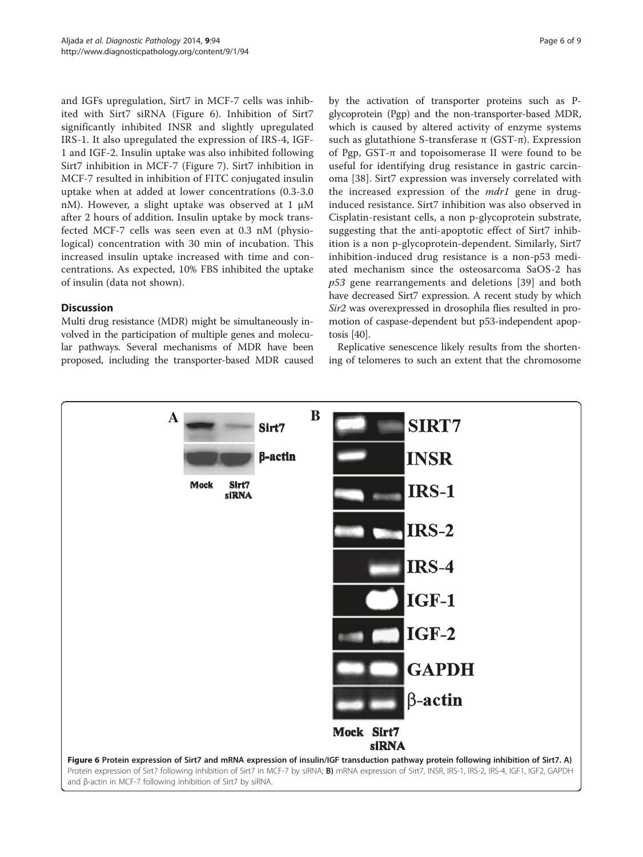and IGFs upregulation, Sirt7 in MCF-7 cells was inhibited with Sirt7 siRNA (Figure 6). Inhibition of Sirt7 significantly inhibited INSR and slightly upregulated IRS-1. It also upregulated the expression of IRS-4, IGF-1 and IGF-2. Insulin uptake was also inhibited following Sirt7 inhibition in MCF-7 (Figure [7](#page-6-0)). Sirt7 inhibition in MCF-7 resulted in inhibition of FITC conjugated insulin uptake when at added at lower concentrations (0.3-3.0 nM). However, a slight uptake was observed at 1 μM after 2 hours of addition. Insulin uptake by mock transfected MCF-7 cells was seen even at 0.3 nM (physiological) concentration with 30 min of incubation. This increased insulin uptake increased with time and concentrations. As expected, 10% FBS inhibited the uptake of insulin (data not shown).

# **Discussion**

Multi drug resistance (MDR) might be simultaneously involved in the participation of multiple genes and molecular pathways. Several mechanisms of MDR have been proposed, including the transporter-based MDR caused by the activation of transporter proteins such as Pglycoprotein (Pgp) and the non-transporter-based MDR, which is caused by altered activity of enzyme systems such as glutathione S-transferase  $π$  (GST- $π$ ). Expression of Pgp, GST-π and topoisomerase II were found to be useful for identifying drug resistance in gastric carcinoma [[38\]](#page-8-0). Sirt7 expression was inversely correlated with the increased expression of the *mdr1* gene in druginduced resistance. Sirt7 inhibition was also observed in Cisplatin-resistant cells, a non p-glycoprotein substrate, suggesting that the anti-apoptotic effect of Sirt7 inhibition is a non p-glycoprotein-dependent. Similarly, Sirt7 inhibition-induced drug resistance is a non-p53 mediated mechanism since the osteosarcoma SaOS-2 has p53 gene rearrangements and deletions [\[39](#page-8-0)] and both have decreased Sirt7 expression. A recent study by which Sir2 was overexpressed in drosophila flies resulted in promotion of caspase-dependent but p53-independent apoptosis [\[40](#page-8-0)].

Replicative senescence likely results from the shortening of telomeres to such an extent that the chromosome

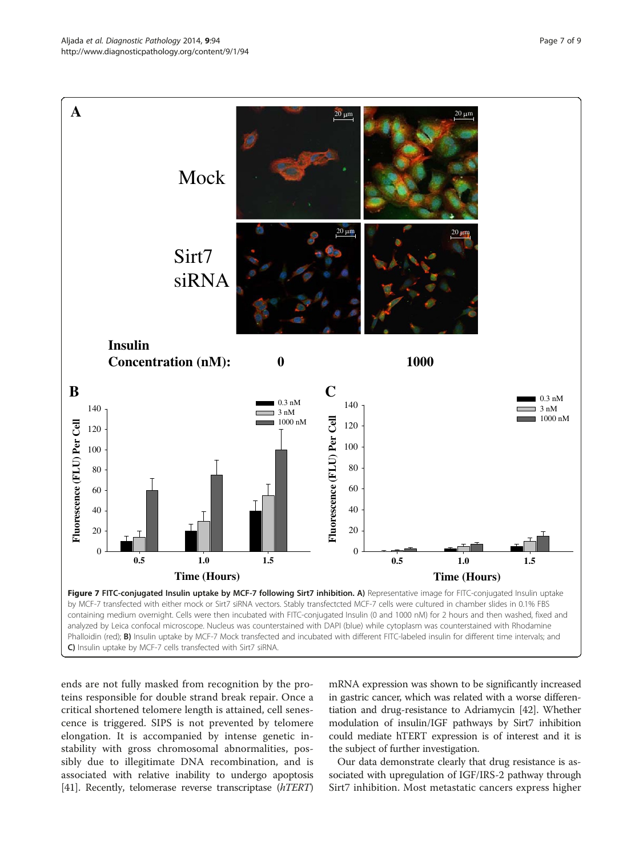<span id="page-6-0"></span>

ends are not fully masked from recognition by the proteins responsible for double strand break repair. Once a critical shortened telomere length is attained, cell senescence is triggered. SIPS is not prevented by telomere elongation. It is accompanied by intense genetic instability with gross chromosomal abnormalities, possibly due to illegitimate DNA recombination, and is associated with relative inability to undergo apoptosis [[41](#page-8-0)]. Recently, telomerase reverse transcriptase (hTERT)

mRNA expression was shown to be significantly increased in gastric cancer, which was related with a worse differentiation and drug-resistance to Adriamycin [\[42\]](#page-8-0). Whether modulation of insulin/IGF pathways by Sirt7 inhibition could mediate hTERT expression is of interest and it is the subject of further investigation.

Our data demonstrate clearly that drug resistance is associated with upregulation of IGF/IRS-2 pathway through Sirt7 inhibition. Most metastatic cancers express higher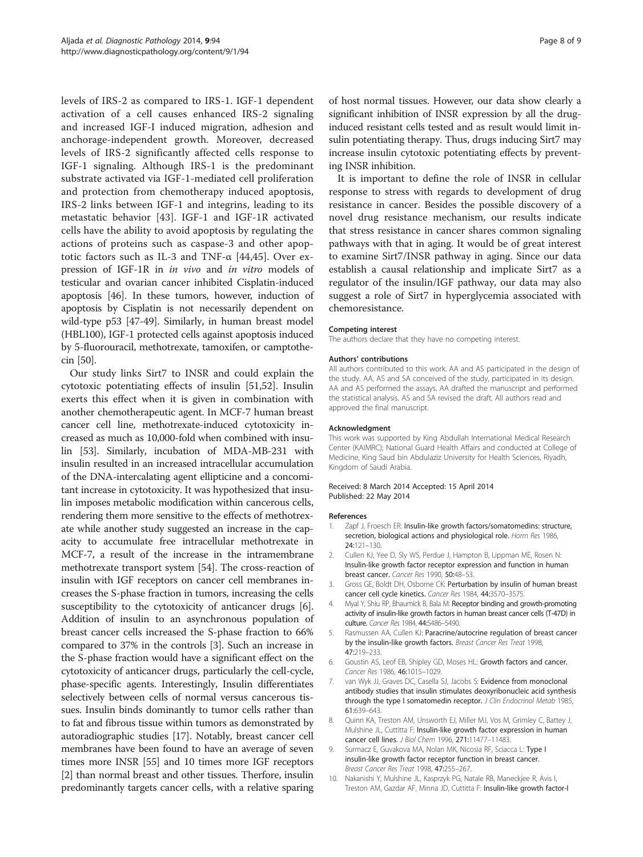<span id="page-7-0"></span>levels of IRS-2 as compared to IRS-1. IGF-1 dependent activation of a cell causes enhanced IRS-2 signaling and increased IGF-I induced migration, adhesion and anchorage-independent growth. Moreover, decreased levels of IRS-2 significantly affected cells response to IGF-1 signaling. Although IRS-1 is the predominant substrate activated via IGF-1-mediated cell proliferation and protection from chemotherapy induced apoptosis, IRS-2 links between IGF-1 and integrins, leading to its metastatic behavior [[43\]](#page-8-0). IGF-1 and IGF-1R activated cells have the ability to avoid apoptosis by regulating the actions of proteins such as caspase-3 and other apoptotic factors such as IL-3 and TNF- $\alpha$  [[44,45](#page-8-0)]. Over expression of IGF-1R in in vivo and in vitro models of testicular and ovarian cancer inhibited Cisplatin-induced apoptosis [[46](#page-8-0)]. In these tumors, however, induction of apoptosis by Cisplatin is not necessarily dependent on wild-type p53 [[47-49\]](#page-8-0). Similarly, in human breast model (HBL100), IGF-1 protected cells against apoptosis induced by 5-fluorouracil, methotrexate, tamoxifen, or camptothecin [\[50](#page-8-0)].

Our study links Sirt7 to INSR and could explain the cytotoxic potentiating effects of insulin [[51](#page-8-0),[52](#page-8-0)]. Insulin exerts this effect when it is given in combination with another chemotherapeutic agent. In MCF-7 human breast cancer cell line, methotrexate-induced cytotoxicity increased as much as 10,000-fold when combined with insulin [\[53\]](#page-8-0). Similarly, incubation of MDA-MB-231 with insulin resulted in an increased intracellular accumulation of the DNA-intercalating agent ellipticine and a concomitant increase in cytotoxicity. It was hypothesized that insulin imposes metabolic modification within cancerous cells, rendering them more sensitive to the effects of methotrexate while another study suggested an increase in the capacity to accumulate free intracellular methotrexate in MCF-7, a result of the increase in the intramembrane methotrexate transport system [\[54\]](#page-8-0). The cross-reaction of insulin with IGF receptors on cancer cell membranes increases the S-phase fraction in tumors, increasing the cells susceptibility to the cytotoxicity of anticancer drugs [6]. Addition of insulin to an asynchronous population of breast cancer cells increased the S-phase fraction to 66% compared to 37% in the controls [3]. Such an increase in the S-phase fraction would have a significant effect on the cytotoxicity of anticancer drugs, particularly the cell-cycle, phase-specific agents. Interestingly, Insulin differentiates selectively between cells of normal versus cancerous tissues. Insulin binds dominantly to tumor cells rather than to fat and fibrous tissue within tumors as demonstrated by autoradiographic studies [[17](#page-8-0)]. Notably, breast cancer cell membranes have been found to have an average of seven times more INSR [\[55](#page-8-0)] and 10 times more IGF receptors [2] than normal breast and other tissues. Therfore, insulin predominantly targets cancer cells, with a relative sparing of host normal tissues. However, our data show clearly a significant inhibition of INSR expression by all the druginduced resistant cells tested and as result would limit insulin potentiating therapy. Thus, drugs inducing Sirt7 may increase insulin cytotoxic potentiating effects by preventing INSR inhibition.

It is important to define the role of INSR in cellular response to stress with regards to development of drug resistance in cancer. Besides the possible discovery of a novel drug resistance mechanism, our results indicate that stress resistance in cancer shares common signaling pathways with that in aging. It would be of great interest to examine Sirt7/INSR pathway in aging. Since our data establish a causal relationship and implicate Sirt7 as a regulator of the insulin/IGF pathway, our data may also suggest a role of Sirt7 in hyperglycemia associated with chemoresistance.

#### Competing interest

The authors declare that they have no competing interest.

#### Authors' contributions

All authors contributed to this work. AA and AS participated in the design of the study. AA, AS and SA conceived of the study, participated in its design. AA and AS performed the assays. AA drafted the manuscript and performed the statistical analysis. AS and SA revised the draft. All authors read and approved the final manuscript.

#### Acknowledgment

This work was supported by King Abdullah International Medical Research Center (KAIMRC); National Guard Health Affairs and conducted at College of Medicine, King Saud bin Abdulaziz University for Health Sciences, Riyadh, Kingdom of Saudi Arabia.

## Received: 8 March 2014 Accepted: 15 April 2014 Published: 22 May 2014

#### References

- 1. Zapf J, Froesch ER: Insulin-like growth factors/somatomedins: structure, secretion, biological actions and physiological role. Horm Res 1986, 24:121–130.
- 2. Cullen KJ, Yee D, Sly WS, Perdue J, Hampton B, Lippman ME, Rosen N: Insulin-like growth factor receptor expression and function in human breast cancer. Cancer Res 1990, 50:48–53.
- 3. Gross GE, Boldt DH, Osborne CK: Perturbation by insulin of human breast cancer cell cycle kinetics. Cancer Res 1984, 44:3570–3575.
- 4. Myal Y, Shiu RP, Bhaumick B, Bala M: Receptor binding and growth-promoting activity of insulin-like growth factors in human breast cancer cells (T-47D) in culture. Cancer Res 1984, 44:5486–5490.
- Rasmussen AA, Cullen KJ: Paracrine/autocrine regulation of breast cancer by the insulin-like growth factors. Breast Cancer Res Treat 1998, 47:219–233.
- 6. Goustin AS, Leof EB, Shipley GD, Moses HL: Growth factors and cancer. Cancer Res 1986, 46:1015–1029.
- 7. van Wyk JJ, Graves DC, Casella SJ, Jacobs S: Evidence from monoclonal antibody studies that insulin stimulates deoxyribonucleic acid synthesis through the type I somatomedin receptor. J Clin Endocrinol Metab 1985, 61:639–643.
- 8. Quinn KA, Treston AM, Unsworth EJ, Miller MJ, Vos M, Grimley C, Battey J, Mulshine JL, Cuttitta F: Insulin-like growth factor expression in human cancer cell lines. J Biol Chem 1996, 271:11477–11483.
- 9. Surmacz E, Guvakova MA, Nolan MK, Nicosia RF, Sciacca L: Type I insulin-like growth factor receptor function in breast cancer. Breast Cancer Res Treat 1998, 47:255–267.
- 10. Nakanishi Y, Mulshine JL, Kasprzyk PG, Natale RB, Maneckjee R, Avis I, Treston AM, Gazdar AF, Minna JD, Cuttitta F: Insulin-like growth factor-I